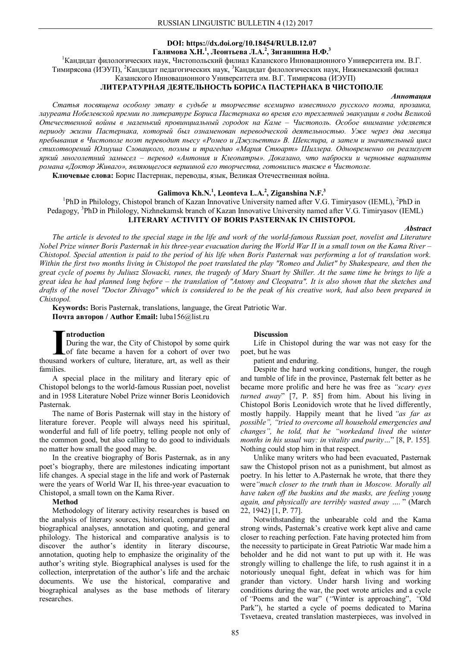### **DOI: https://dx.doi.org/10.18454/RULB.12.07 Галимова Х.Н.<sup>1</sup> , Леонтьева Л.А.<sup>2</sup> , Зиганшина Н.Ф.<sup>3</sup>**

<sup>1</sup>Кандидат филологических наук, Чистопольский филиал Казанского Инновационного Университета им. В.Г. Тимирясова (ИЭУП), <sup>2</sup>Кандидат педагогических наук, <sup>3</sup>Кандидат филологических наук, Нижнекамский филиал

# Казанского Инновационного Университета им. В.Г. Тимирясова (ИЭУП)

## **ЛИТЕРАТУРНАЯ ДЕЯТЕЛЬНОСТЬ БОРИСА ПАСТЕРНАКА В ЧИСТОПОЛЕ**

#### *Аннотация*

*Статья посвящена особому этапу в судьбе и творчестве всемирно известного русского поэта, прозаика, лауреата Нобелевской премии по литературе Бориса Пастернака во время его трехлетней эвакуации в годы Великой Отечественной войны в маленький провинциальный городок на Каме – Чистополь. Особое внимание уделяется периоду жизни Пастернака, который был ознаменован переводческой деятельностью. Уже через два месяца пребывания в Чистополе поэт переводит пьесу «Ромео и Джульетта» В. Шекспира, а затем и значительный цикл стихотворений Юлиуша Словацкого, поэмы и трагедию «Мария Стюарт» Шиллера. Одновременно он реализует яркий многолетний замысел – перевод «Антония и Клеопатры». Доказано, что наброски и черновые варианты романа «Доктор Живаго», являющегося вершиной его творчества, готовились также в Чистополе.*

**Ключевые слова:** Борис Пастернак, переводы, язык, Великая Отечественная война.

## **Galimova Kh.N.<sup>1</sup> , Leonteva L.A.<sup>2</sup> , Ziganshina N.F.<sup>3</sup>**

<sup>1</sup>PhD in Philology, Chistopol branch of Kazan Innovative University named after V.G. Timiryasov (IEML), <sup>2</sup>PhD in Pedagogy, <sup>3</sup>PhD in Philology, Nizhnekamsk branch of Kazan Innovative University named after V.G. Timiryasov (IEML) **LITERARY ACTIVITY OF BORIS PASTERNAK IN CHISTOPOL**

#### *Abstract*

*The article is devoted to the special stage in the life and work of the world-famous Russian poet, novelist and Literature Nobel Prize winner Boris Pasternak in his three-year evacuation during the World War II in a small town on the Kama River – Chistopol. Special attention is paid to the period of his life when Boris Pasternak was performing a lot of translation work. Within the first two months living in Chistopol the poet translated the play "Romeo and Juliet" by Shakespeare, and then the great cycle of poems by Juliusz Slowacki, runes, the tragedy of Mary Stuart by Shiller. At the same time he brings to life a great idea he had planned long before – the translation of "Antony and Cleopatra". It is also shown that the sketches and drafts of the novel "Doctor Zhivago" which is considered to be the peak of his creative work, had also been prepared in Chistopol.*

**Keywords:** Boris Pasternak, translations, language, the Great Patriotic War. **Почта авторов / Author Email:** luba156@list.ru

#### **ntroduction**

During the war, the City of Chistopol by some quirk of fate became a haven for a cohort of over two Introduction<br>
During the war, the City of Chistopol by some quirk<br>
of fate became a haven for a cohort of over two<br>
thousand workers of culture, literature, art, as well as their families.

A special place in the military and literary epic of Chistopol belongs to the world-famous Russian poet, novelist and in 1958 Literature Nobel Prize winner Boris Leonidovich Pasternak.

The name of Boris Pasternak will stay in the history of literature forever. People will always need his spiritual, wonderful and full of life poetry, telling people not only of the common good, but also calling to do good to individuals no matter how small the good may be.

In the creative biography of Boris Pasternak, as in any poet's biography, there are milestones indicating important life changes. A special stage in the life and work of Pasternak were the years of World War II, his three-year evacuation to Chistopol, a small town on the Kama River.

#### **Method**

Methodology of literary activity researches is based on the analysis of literary sources, historical, comparative and biographical analyses, annotation and quoting, and general philology. The historical and comparative analysis is to discover the author's identity in literary discourse, annotation, quoting help to emphasize the originality of the author's writing style. Biographical analyses is used for the collection, interpretation of the author's life and the archaic documents. We use the historical, comparative and biographical analyses as the base methods of literary researches.

### **Discussion**

Life in Chistopol during the war was not easy for the poet, but he was

patient and enduring.

Despite the hard working conditions, hunger, the rough and tumble of life in the province, Pasternak felt better as he became more prolific and here he was free as *"scary eyes turned away*" [7, P. 85] from him. About his living in Chistopol Boris Leonidovich wrote that he lived differently, mostly happily. Happily meant that he lived *"as far as possible", "tried to overcome all household emergencies and changes", he told, that he "workedand lived the winter months in his usual way: in vitality and purity…*" [8, P. 155]*.* Nothing could stop him in that respect.

Unlike many writers who had been evacuated, Pasternak saw the Chistopol prison not as a punishment, but almost as poetry. In his letter to A.Pasternak he wrote, that there they were*"much closer to the truth than in Moscow. Morally all have taken off the buskins and the masks, are feeling young again, and physically are terribly wasted away ….* " (March 22, 1942) [1, P. 77].

Notwithstanding the unbearable cold and the Kama strong winds, Pasternak's creative work kept alive and came closer to reaching perfection. Fate having protected him from the necessity to participate in Great Patriotic War made him a beholder and he did not want to put up with it. He was strongly willing to challenge the life, to rush against it in a notoriously unequal fight, defeat in which was for him grander than victory. Under harsh living and working conditions during the war, the poet wrote articles and a cycle of *"*Poems and the war" (*"*Winter is approaching", *"*Old Park"), he started a cycle of poems dedicated to Marina Tsvetaeva, created translation masterpieces, was involved in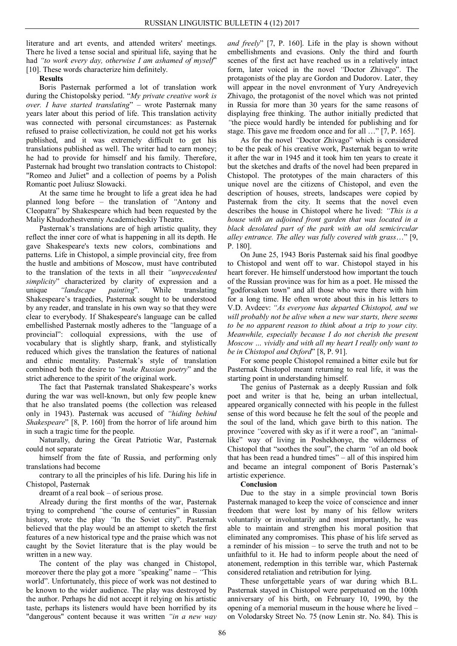literature and art events, and attended writers' meetings. There he lived a tense social and spiritual life, saying that he had *"to work every day, otherwise I am ashamed of myself*" [10]. These words characterize him definitely.

## **Results**

Boris Pasternak performed a lot of translation work during the Chistopolsky period. "*My private creative work is over. I have started translating*" – wrote Pasternak many years later about this period of life. This translation activity was connected with personal circumstances: as Pasternak refused to praise collectivization, he could not get his works published, and it was extremely difficult to get his translations published as well. The writer had to earn money; he had to provide for himself and his family. Therefore, Pasternak had brought two translation contracts to Chistopol: "Romeo and Juliet" and a collection of poems by a Polish Romantic poet Juliusz Slowacki.

At the same time he brought to life a great idea he had planned long before – the translation of *"*Antony and Cleopatra" by Shakespeare which had been requested by the Maliy Khudozhestvenniy Academicheskiy Theatre.

Pasternak's translations are of high artistic quality, they reflect the inner core of what is happening in all its depth. He gave Shakespeare's texts new colors, combinations and patterns. Life in Chistopol, a simple provincial city, free from the hustle and ambitions of Moscow, must have contributed to the translation of the texts in all their *"unprecedented simplicity*" characterized by clarity of expression and a unique *"landscape painting*". While translating Shakespeare's tragedies, Pasternak sought to be understood by any reader, and translate in his own way so that they were clear to everybody. If Shakespeare's language can be called embellished Pasternak mostly adheres to the *"*language of a provincial": colloquial expressions, with the use of vocabulary that is slightly sharp, frank, and stylistically reduced which gives the translation the features of national and ethnic mentality. Pasternak's style of translation combined both the desire to *"make Russian poetry*" and the strict adherence to the spirit of the original work.

The fact that Pasternak translated Shakespeare's works during the war was well-known, but only few people knew that he also translated poems (the collection was released only in 1943). Pasternak was accused of *"hiding behind Shakespeare*" [8, P. 160] from the horror of life around him in such a tragic time for the people.

Naturally, during the Great Patriotic War, Pasternak could not separate

himself from the fate of Russia, and performing only translations had become

contrary to all the principles of his life. During his life in Chistopol, Pasternak

dreamt of a real book – of serious prose.

Already during the first months of the war, Pasternak trying to comprehend *"*the course of centuries" in Russian history, wrote the play *"*In the Soviet city". Pasternak believed that the play would be an attempt to sketch the first features of a new historical type and the praise which was not caught by the Soviet literature that is the play would be written in a new way.

The content of the play was changed in Chistopol, moreover there the play got a more *"*speaking" name – *"*This world". Unfortunately, this piece of work was not destined to be known to the wider audience. The play was destroyed by the author. Perhaps he did not accept it relying on his artistic taste, perhaps its listeners would have been horrified by its "dangerous" content because it was written *"in a new way* 

*and freely*" [7, P. 160]. Life in the play is shown without embellishments and evasions. Only the third and fourth scenes of the first act have reached us in a relatively intact form, later voiced in the novel *"*Doctor Zhivago". The protagonists of the play are Gordon and Dudorov. Later, they will appear in the novel envronment of Yury Andreyevich Zhivago, the protagonist of the novel which was not printed in Russia for more than 30 years for the same reasons of displaying free thinking. The author initially predicted that *"*the piece would hardly be intended for publishing and for stage. This gave me freedom once and for all …" [7, P. 165].

As for the novel *"*Doctor Zhivago" which is considered to be the peak of his creative work, Pasternak began to write it after the war in 1945 and it took him ten years to create it but the sketches and drafts of the novel had been prepared in Chistopol. The prototypes of the main characters of this unique novel are the citizens of Chistopol, and even the description of houses, streets, landscapes were copied by Pasternak from the city. It seems that the novel even describes the house in Chistopol where he lived: *"This is a house with an adjoined front garden that was located in a black desolated part of the park with an old semicircular alley entrance. The alley was fully covered with grass*…" [9, P. 180].

On June 25, 1943 Boris Pasternak said his final goodbye to Chistopol and went off to war. Chistopol stayed in his heart forever. He himself understood how important the touch of the Russian province was for him as a poet. He missed the "godforsaken town" and all those who were there with him for a long time. He often wrote about this in his letters to V.D. Avdeev: *"As everyone has departed Chistopol, and we will probably not be alive when a new war starts, there seems to be no apparent reason to think about a trip to your city. Meanwhile, especially because I do not cherish the present Moscow … vividly and with all my heart I really only want to be in Chistopol and Oxford*" [8, P. 91].

For some people Chistopol remained a bitter exile but for Pasternak Chistopol meant returning to real life, it was the starting point in understanding himself.

The genius of Pasternak as a deeply Russian and folk poet and writer is that he, being an urban intellectual, appeared organically connected with his people in the fullest sense of this word because he felt the soul of the people and the soul of the land, which gave birth to this nation. The province *"*covered with sky as if it were a roof", an *"*animallike" way of living in Poshekhonye, the wilderness of Chistopol that "soothes the soul", the charm *"*of an old book that has been read a hundred times" – all of this inspired him and became an integral component of Boris Pasternak's artistic experience.

### **Conclusion**

Due to the stay in a simple provincial town Boris Pasternak managed to keep the voice of conscience and inner freedom that were lost by many of his fellow writers voluntarily or involuntarily and most importantly, he was able to maintain and strengthen his moral position that eliminated any compromises. This phase of his life served as a reminder of his mission – to serve the truth and not to be unfaithful to it. He had to inform people about the need of atonement, redemption in this terrible war, which Pasternak considered retaliation and retribution for lying.

These unforgettable years of war during which B.L. Pasternak stayed in Chistopol were perpetuated on the 100th anniversary of his birth, on February 10, 1990, by the opening of a memorial museum in the house where he lived – on Volodarsky Street No. 75 (now Lenin str. No. 84). This is